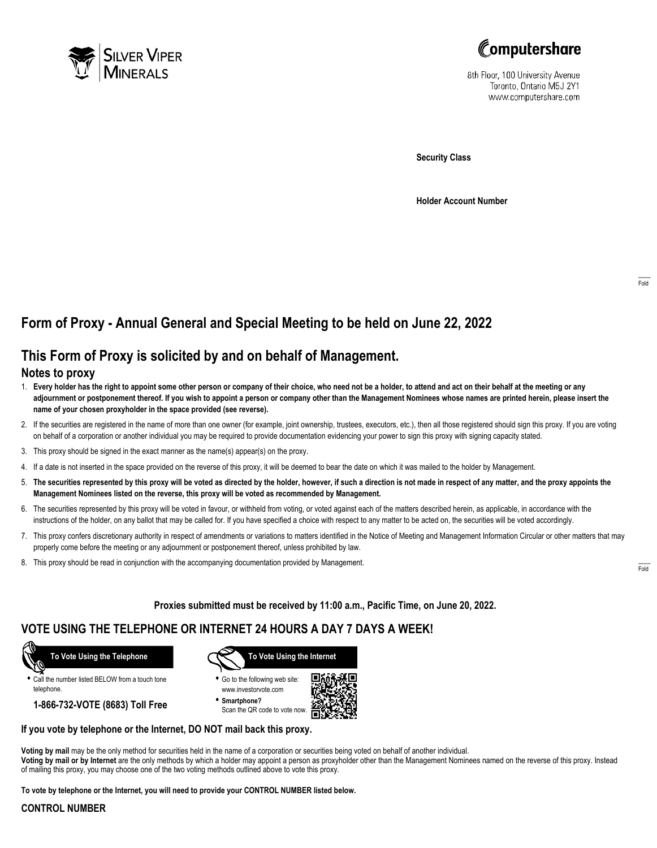



8th Floor, 100 University Avenue Toronto, Ontario M5J 2Y1 www.computershare.com

**Security Class**

**Holder Account Number**

# **Form of Proxy - Annual General and Special Meeting to be held on June 22, 2022**

## **This Form of Proxy is solicited by and on behalf of Management.**

### **Notes to proxy**

- 1. **Every holder has the right to appoint some other person or company of their choice, who need not be a holder, to attend and act on their behalf at the meeting or any adjournment or postponement thereof. If you wish to appoint a person or company other than the Management Nominees whose names are printed herein, please insert the name of your chosen proxyholder in the space provided (see reverse).**
- 2. If the securities are registered in the name of more than one owner (for example, joint ownership, trustees, executors, etc.), then all those registered should sign this proxy. If you are voting on behalf of a corporation or another individual you may be required to provide documentation evidencing your power to sign this proxy with signing capacity stated.
- 3. This proxy should be signed in the exact manner as the name(s) appear(s) on the proxy.
- 4. If a date is not inserted in the space provided on the reverse of this proxy, it will be deemed to bear the date on which it was mailed to the holder by Management.
- 5. **The securities represented by this proxy will be voted as directed by the holder, however, if such a direction is not made in respect of any matter, and the proxy appoints the Management Nominees listed on the reverse, this proxy will be voted as recommended by Management.**
- 6. The securities represented by this proxy will be voted in favour, or withheld from voting, or voted against each of the matters described herein, as applicable, in accordance with the instructions of the holder, on any ballot that may be called for. If you have specified a choice with respect to any matter to be acted on, the securities will be voted accordingly.
- 7. This proxy confers discretionary authority in respect of amendments or variations to matters identified in the Notice of Meeting and Management Information Circular or other matters that may properly come before the meeting or any adjournment or postponement thereof, unless prohibited by law.
- 8. This proxy should be read in conjunction with the accompanying documentation provided by Management.

**Proxies submitted must be received by 11:00 a.m., Pacific Time, on June 20, 2022.**

## **VOTE USING THE TELEPHONE OR INTERNET 24 HOURS A DAY 7 DAYS A WEEK!**



**•** Call the number listed BELOW from a touch tone telephone.

**1-866-732-VOTE (8683) Toll Free**



**•** Go to the following web site: www.investorvote.com

**• Smartphone?** Scan the QR code to vote now.



#### **If you vote by telephone or the Internet, DO NOT mail back this proxy.**

**Voting by mail** may be the only method for securities held in the name of a corporation or securities being voted on behalf of another individual. **Voting by mail or by Internet** are the only methods by which a holder may appoint a person as proxyholder other than the Management Nominees named on the reverse of this proxy. Instead of mailing this proxy, you may choose one of the two voting methods outlined above to vote this proxy.

**To vote by telephone or the Internet, you will need to provide your CONTROL NUMBER listed below.**

#### **CONTROL NUMBER**